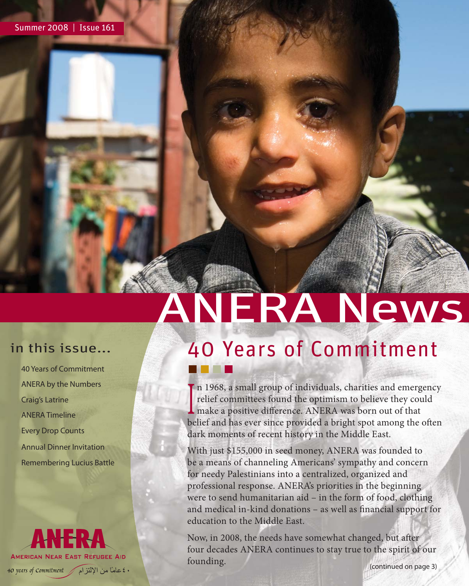### in this issue...

40 Years of Commitment ANERA by the Numbers Craig's Latrine ANERA Timeline Every Drop Counts Annual Dinner Invitation Remembering Lucius Battle

## **AMERICAN NEAR EAST REFUGEE AID** . ٤ عامًا من الإلتزام / 40 years of Commitment

# ANERA News 40 Years of Commitment

I relief committees found the optimism to believe they counsel<br>make a positive difference. ANERA was born out of that In 1968, a small group of individuals, charities and emergency relief committees found the optimism to believe they could belief and has ever since provided a bright spot among the often dark moments of recent history in the Middle East.

With just \$155,000 in seed money, ANERA was founded to be a means of channeling Americans' sympathy and concern for needy Palestinians into a centralized, organized and professional response. ANERA's priorities in the beginning were to send humanitarian aid – in the form of food, clothing and medical in-kind donations - as well as financial support for education to the Middle East.

Now, in 2008, the needs have somewhat changed, but after four decades ANERA continues to stay true to the spirit of our founding. (continued on page 3)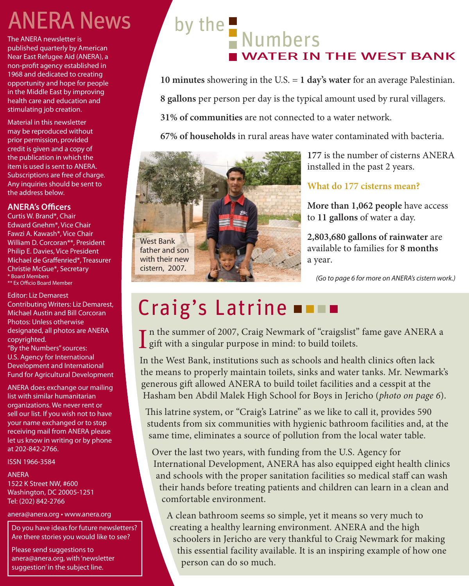## **ANERA News**

The ANERA newsletter is published quarterly by American Near East Refugee Aid (ANERA), a non-profit agency established in 1968 and dedicated to creating opportunity and hope for people in the Middle East by improving health care and education and stimulating job creation.

Material in this newsletter may be reproduced without prior permission, provided credit is given and a copy of the publication in which the item is used is sent to ANERA. Subscriptions are free of charge. Any inquiries should be sent to the address below.

#### **ANERA's Officers**

Curtis W. Brand\*, Chair Edward Gnehm\*, Vice Chair Fawzi A. Kawash\*, Vice Chair William D. Corcoran\*\*, President Philip E. Davies, Vice President Michael de Graffenried\*, Treasurer Christie McGue\*, Secretary \* Board Members \*\* Ex Officio Board Member

Editor: Liz Demarest Contributing Writers: Liz Demarest, Michael Austin and Bill Corcoran Photos: Unless otherwise designated, all photos are ANERA copyrighted.

"By the Numbers" sources: U.S. Agency for International Development and International Fund for Agricultural Development

ANERA does exchange our mailing list with similar humanitarian organizations. We never rent or sell our list. If you wish not to have your name exchanged or to stop receiving mail from ANERA please let us know in writing or by phone at 202-842-2766.

ISSN 1966-3584

#### ANERA

1522 K Street NW, #600 Washington, DC 20005-1251 Tel: (202) 842-2766

anera@anera.org • www.anera.org

Do you have ideas for future newsletters? Are there stories you would like to see?

Please send suggestions to anera@anera.org, with 'newsletter suggestion' in the subject line.

# by the Numbers WATER IN THE WEST BANK

**10 minutes** showering in the U.S. = **1 day's water** for an average Palestinian. **8 gallons** per person per day is the typical amount used by rural villagers. **31% of communities** are not connected to a water network.

**67% of households** in rural areas have water contaminated with bacteria.



**177** is the number of cisterns ANERA installed in the past 2 years.

#### **What do 177 cisterns mean?**

**More than 1,062 people** have access to **11 gallons** of water a day.

**2,803,680 gallons of rainwater** are available to families for **8 months** a year.

(Go to page 6 for more on ANERA's cistern work.)

# Craig's Latrine  $\blacksquare$

In the summer of 2007, Craig Newmark of "craigslist" fame gave ANERA a gift with a singular purpose in mind: to build toilets. **g** gift with a singular purpose in mind: to build toilets.

In the West Bank, institutions such as schools and health clinics often lack the means to properly maintain toilets, sinks and water tanks. Mr. Newmark's generous gift allowed ANERA to build toilet facilities and a cesspit at the Hasham ben Abdil Malek High School for Boys in Jericho (*photo on page 6*).

This latrine system, or "Craig's Latrine" as we like to call it, provides 590 students from six communities with hygienic bathroom facilities and, at the same time, eliminates a source of pollution from the local water table.

Over the last two years, with funding from the U.S. Agency for International Development, ANERA has also equipped eight health clinics and schools with the proper sanitation facilities so medical staff can wash their hands before treating patients and children can learn in a clean and comfortable environment.

A clean bathroom seems so simple, yet it means so very much to creating a healthy learning environment. ANERA and the high schoolers in Jericho are very thankful to Craig Newmark for making this essential facility available. It is an inspiring example of how one person can do so much.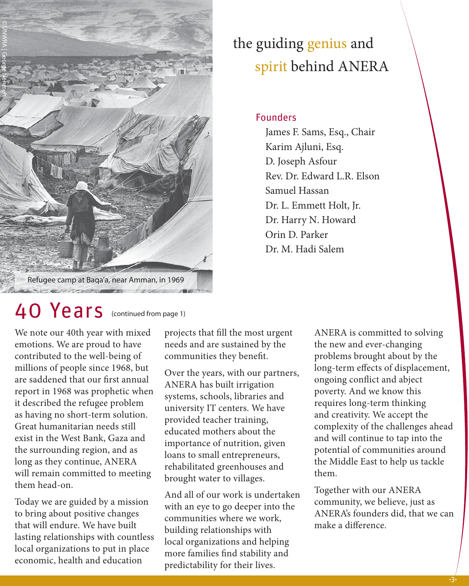

### the guiding genius and spirit behind ANERA

Founders

 James F. Sams, Esq., Chair Karim Ajluni, Esq. D. Joseph Asfour Rev. Dr. Edward L.R. Elson Samuel Hassan Dr. L. Emmett Holt, Jr. Dr. Harry N. Howard Orin D. Parker Dr. M. Hadi Salem

We note our 40th year with mixed emotions. We are proud to have contributed to the well-being of millions of people since 1968, but are saddened that our first annual report in 1968 was prophetic when it described the refugee problem as having no short-term solution. Great humanitarian needs still exist in the West Bank, Gaza and the surrounding region, and as long as they continue, ANERA will remain committed to meeting them head-on.

Today we are guided by a mission to bring about positive changes that will endure. We have built lasting relationships with countless local organizations to put in place economic, health and education

projects that fill the most urgent needs and are sustained by the communities they benefit.

Over the years, with our partners, ANERA has built irrigation systems, schools, libraries and university IT centers. We have provided teacher training, educated mothers about the importance of nutrition, given loans to small entrepreneurs, rehabilitated greenhouses and brought water to villages.

And all of our work is undertaken with an eye to go deeper into the communities where we work, building relationships with local organizations and helping more families find stability and predictability for their lives.

ANERA is committed to solving the new and ever-changing problems brought about by the long-term effects of displacement, ongoing conflict and abject poverty. And we know this requires long-term thinking and creativity. We accept the complexity of the challenges ahead and will continue to tap into the potential of communities around the Middle East to help us tackle them.

Together with our ANERA community, we believe, just as ANERA's founders did, that we can make a difference.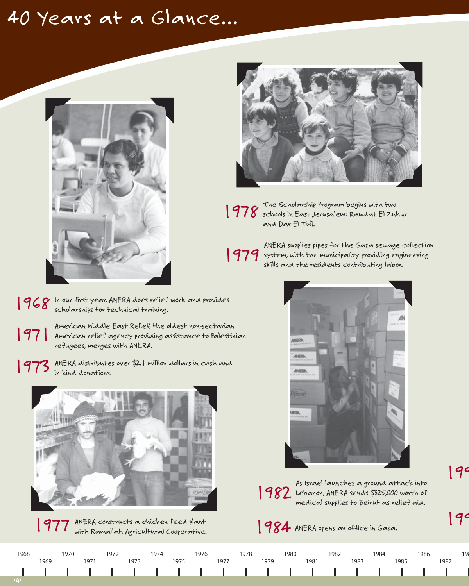### 40 Years at a Glance...





The Scholarship Program begins with two **1978** The Scholarship Program begins with two<br>**1978** schools in East Jerusalem: Rawdat El Zuhur and Dar El Tifl.

ANERA supplies pipes for the Gaza sewage collection 1979 System, with the municipality providing engineering<br>skills and the residents contributing labor.



199

As Israel launches a ground attack into 1982 Lebanon, ANERA sends \$325,000 worth of medical supplies to Beirut as relief aid.



American Middle East Relief, the oldest non-sectarian

American miaaie East Keilet, the olaest non-sectarian<br>American relief agency providing assistance to Palestinian<br>ma<sup>p</sup>i ages wereses illu ANERA

1973 ANERA distributes over \$2.1 million dollars in cash and

refugees, merges with ANERA.

in-kind donations.

ANERA constructs a chicken feed plant 1977 with Ramallah Agricultural Cooperative.

1968 1970 1972 1974 1976 1978 1980 1982 1984 1986 198 1969 1971 1973 1975 1977 1979 1981 1983 1985 1987 п J. ı ı ш ı L п ı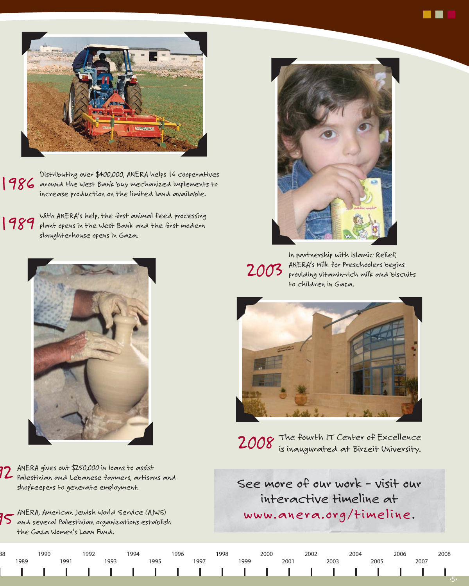

Distributing over \$400,000, ANERA helps 16 cooperatives 1986 around the West Bank buy mechanized implements to increase production on the limited land available.

With ANERA's help, the first animal feed processing **989** With ANERA's help, the first animal feed processing<br>**1989** plant opens in the West Bank and the first modern slaughterhouse opens in Gaza.



ANERA gives out \$250,000 in loans to assist 72 ANERA gives out \$250,000 in loans to assist<br>72 Palestinian and Lebanese farmers, artisans and shopkeepers to generate employment.

ANERA, American Jewish World Service (AJWS)  $35$  and several Palestinian organizations establish  $3$ the Gaza Women's Loan Fund.



**STEP** 

In partnership with Islamic Relief, 2003 ANERA's milk for Preschoolers begins<br>2003 providing vitamin-rich milk and biscu providing vitamin-rich milk and biscuits to children in Gaza.



2008 The fourth IT Center of Excellence is inaugurated at Birzeit University.

See more of our work – visit our interactive timeline at www.anera.org/timeline.

|     | 1990 |     | 992 | 994 |      | 996 |     | '998 |     | 2000 |      |      | 2004 |      | 2006 |      | 2008 |
|-----|------|-----|-----|-----|------|-----|-----|------|-----|------|------|------|------|------|------|------|------|
| 989 |      | 991 |     |     | 1995 |     | 997 |      | 999 |      | 2001 | 2003 |      | 2005 |      | 2007 |      |
|     |      |     |     |     |      |     |     |      |     |      |      |      |      |      |      |      |      |
|     |      |     |     |     |      |     |     |      |     |      |      |      |      |      |      |      |      |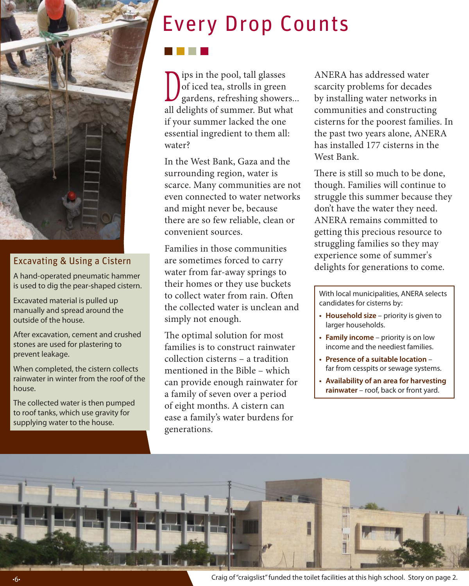

#### Excavating & Using a Cistern

A hand-operated pneumatic hammer is used to dig the pear-shaped cistern.

Excavated material is pulled up manually and spread around the outside of the house.

After excavation, cement and crushed stones are used for plastering to prevent leakage.

When completed, the cistern collects rainwater in winter from the roof of the house.

The collected water is then pumped to roof tanks, which use gravity for supplying water to the house.

# Every Drop Counts

Dips in the pool, tall glasses<br>of iced tea, strolls in green<br>gardens, refreshing shower of iced tea, strolls in green gardens, refreshing showers... all delights of summer. But what if your summer lacked the one essential ingredient to them all: water?

In the West Bank, Gaza and the surrounding region, water is scarce. Many communities are not even connected to water networks and might never be, because there are so few reliable, clean or convenient sources.

Families in those communities are sometimes forced to carry water from far-away springs to their homes or they use buckets to collect water from rain. Often the collected water is unclean and simply not enough.

The optimal solution for most families is to construct rainwater collection cisterns – a tradition mentioned in the Bible – which can provide enough rainwater for a family of seven over a period of eight months. A cistern can ease a family's water burdens for generations.

ANERA has addressed water scarcity problems for decades by installing water networks in communities and constructing cisterns for the poorest families. In the past two years alone, ANERA has installed 177 cisterns in the West Bank.

There is still so much to be done, though. Families will continue to struggle this summer because they don't have the water they need. ANERA remains committed to getting this precious resource to struggling families so they may experience some of summer's delights for generations to come.

With local municipalities, ANERA selects candidates for cisterns by:

- **Household size** priority is given to larger households.
- **Family income** priority is on low income and the neediest families.
- **Presence of a suitable location** far from cesspits or sewage systems.
- **Availability of an area for harvesting rainwater** – roof, back or front yard.



6 Craig of "craigslist" funded the toilet facilities at this high school. Story on page 2.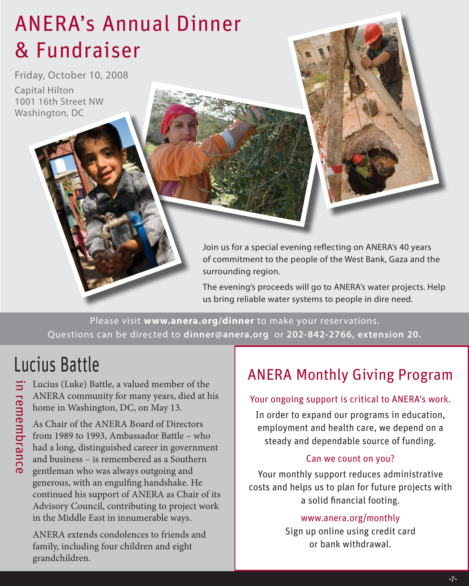## ANERA's Annual Dinner & Fundraiser

Friday, October 10, 2008 Capital Hilton 1001 16th Street NW Washington, DC

> Join us for a special evening reflecting on ANERA's 40 years of commitment to the people of the West Bank, Gaza and the surrounding region.

The evening's proceeds will go to ANERA's water projects. Help us bring reliable water systems to people in dire need.

Please visit **www.anera.org/dinner** to make your reservations. Questions can be directed to **dinner@anera.org** or **202-842-2766, extension 20.**

### Lucius Battle

in remembrance Lucius (Luke) Battle, a valued member of the in remembrance ANERA community for many years, died at his home in Washington, DC, on May 13.

As Chair of the ANERA Board of Directors from 1989 to 1993, Ambassador Battle – who had a long, distinguished career in government and business – is remembered as a Southern gentleman who was always outgoing and generous, with an engulfing handshake. He continued his support of ANERA as Chair of its Advisory Council, contributing to project work in the Middle East in innumerable ways.

ANERA extends condolences to friends and family, including four children and eight grandchildren.

### ANERA Monthly Giving Program

#### Your ongoing support is critical to ANERA's work.

In order to expand our programs in education, employment and health care, we depend on a steady and dependable source of funding.

#### Can we count on you?

Your monthly support reduces administrative costs and helps us to plan for future projects with a solid financial footing.

#### www.anera.org/monthly

Sign up online using credit card or bank withdrawal.